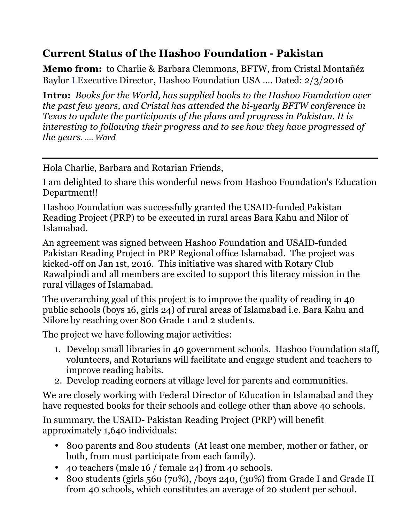## **Current Status of the Hashoo Foundation - Pakistan**

**Memo from:** to Charlie & Barbara Clemmons, BFTW, from Cristal Montañéz Baylor I Executive Director, Hashoo Foundation USA …. Dated: 2/3/2016

**Intro:** *Books for the World, has supplied books to the Hashoo Foundation over the past few years, and Cristal has attended the bi-yearly BFTW conference in Texas to update the participants of the plans and progress in Pakistan. It is interesting to following their progress and to see how they have progressed of the years. …. Ward*

Hola Charlie, Barbara and Rotarian Friends,

I am delighted to share this wonderful news from Hashoo Foundation's Education Department!!

Hashoo Foundation was successfully granted the USAID-funded Pakistan Reading Project (PRP) to be executed in rural areas Bara Kahu and Nilor of Islamabad.

An agreement was signed between Hashoo Foundation and USAID-funded Pakistan Reading Project in PRP Regional office Islamabad. The project was kicked-off on Jan 1st, 2016. This initiative was shared with Rotary Club Rawalpindi and all members are excited to support this literacy mission in the rural villages of Islamabad.

The overarching goal of this project is to improve the quality of reading in 40 public schools (boys 16, girls 24) of rural areas of Islamabad i.e. Bara Kahu and Nilore by reaching over 800 Grade 1 and 2 students.

The project we have following major activities:

- 1. Develop small libraries in 40 government schools. Hashoo Foundation staff, volunteers, and Rotarians will facilitate and engage student and teachers to improve reading habits.
- 2. Develop reading corners at village level for parents and communities.

We are closely working with Federal Director of Education in Islamabad and they have requested books for their schools and college other than above 40 schools.

In summary, the USAID- Pakistan Reading Project (PRP) will benefit approximately 1,640 individuals:

- 800 parents and 800 students (At least one member, mother or father, or both, from must participate from each family).
- 40 teachers (male 16 / female 24) from 40 schools.
- 800 students (girls 560 (70%), /boys 240, (30%) from Grade I and Grade II from 40 schools, which constitutes an average of 20 student per school.